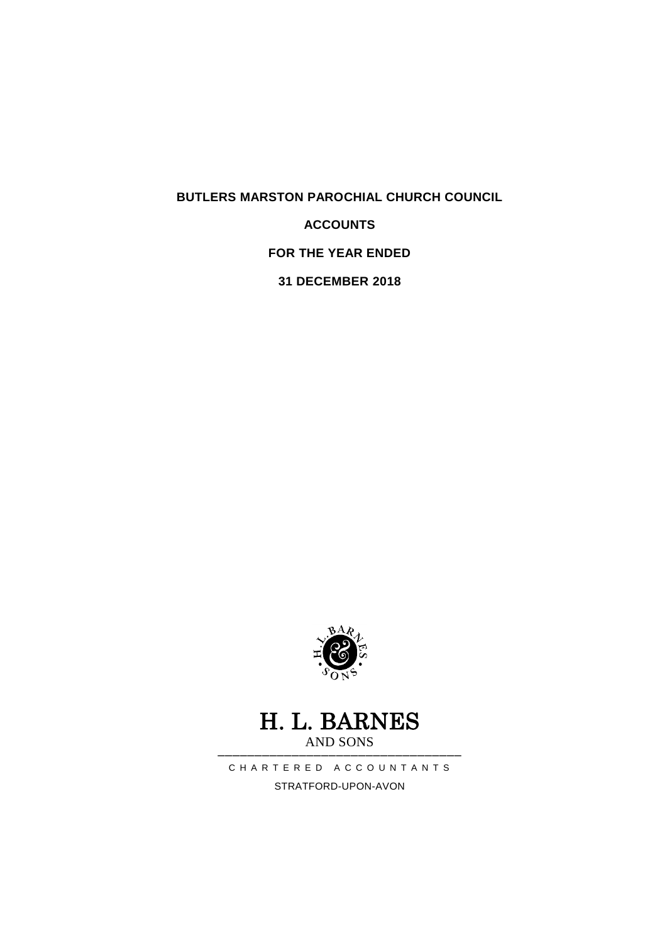**BUTLERS MARSTON PAROCHIAL CHURCH COUNCIL**

**ACCOUNTS**

**FOR THE YEAR ENDED** 

**31 DECEMBER 2018**



### H. L. BARNES AND SONS

───────────────────────────────── C H A R T E R E D A C C O U N T A N T S STRATFORD-UPON-AVON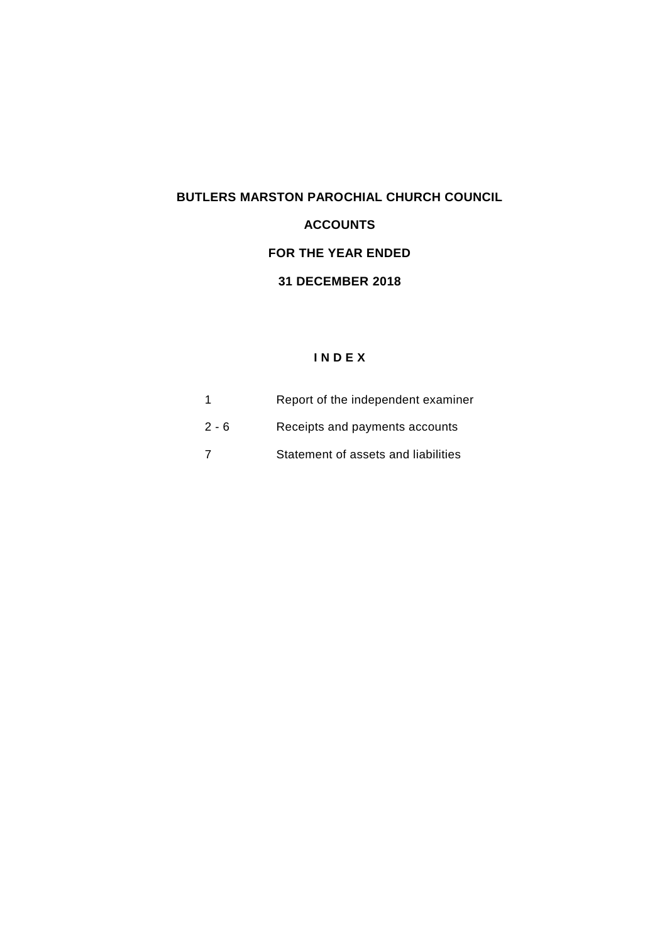# **BUTLERS MARSTON PAROCHIAL CHURCH COUNCIL ACCOUNTS FOR THE YEAR ENDED 31 DECEMBER 2018**

### **I N D E X**

|         | Report of the independent examiner  |
|---------|-------------------------------------|
| $2 - 6$ | Receipts and payments accounts      |
|         | Statement of assets and liabilities |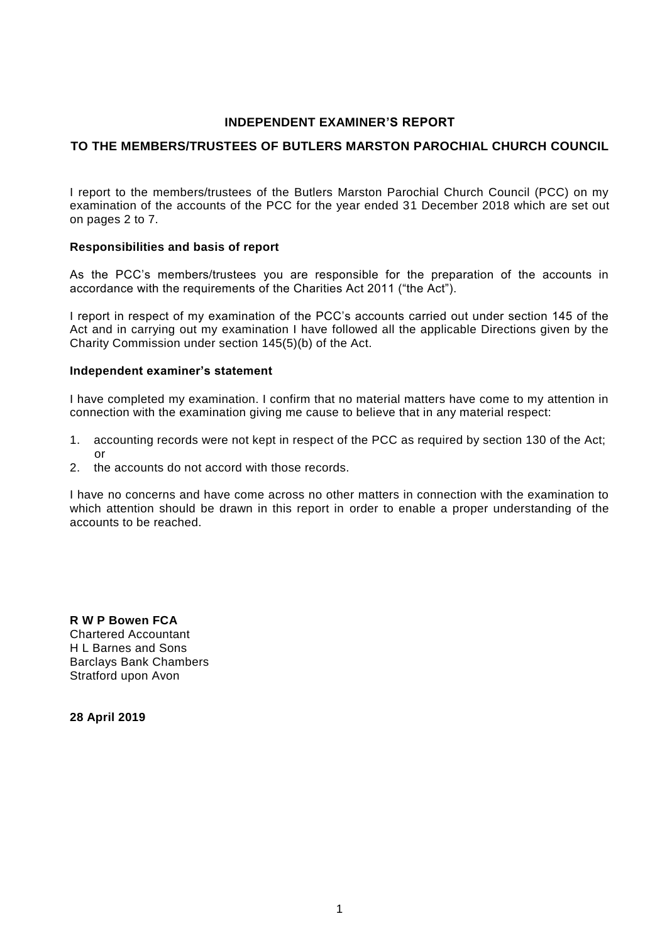#### **INDEPENDENT EXAMINER'S REPORT**

#### **TO THE MEMBERS/TRUSTEES OF BUTLERS MARSTON PAROCHIAL CHURCH COUNCIL**

I report to the members/trustees of the Butlers Marston Parochial Church Council (PCC) on my examination of the accounts of the PCC for the year ended 31 December 2018 which are set out on pages 2 to 7.

#### **Responsibilities and basis of report**

As the PCC's members/trustees you are responsible for the preparation of the accounts in accordance with the requirements of the Charities Act 2011 ("the Act").

I report in respect of my examination of the PCC's accounts carried out under section 145 of the Act and in carrying out my examination I have followed all the applicable Directions given by the Charity Commission under section 145(5)(b) of the Act.

#### **Independent examiner's statement**

I have completed my examination. I confirm that no material matters have come to my attention in connection with the examination giving me cause to believe that in any material respect:

- 1. accounting records were not kept in respect of the PCC as required by section 130 of the Act; or
- 2. the accounts do not accord with those records.

I have no concerns and have come across no other matters in connection with the examination to which attention should be drawn in this report in order to enable a proper understanding of the accounts to be reached.

**R W P Bowen FCA** Chartered Accountant H L Barnes and Sons Barclays Bank Chambers Stratford upon Avon

**28 April 2019**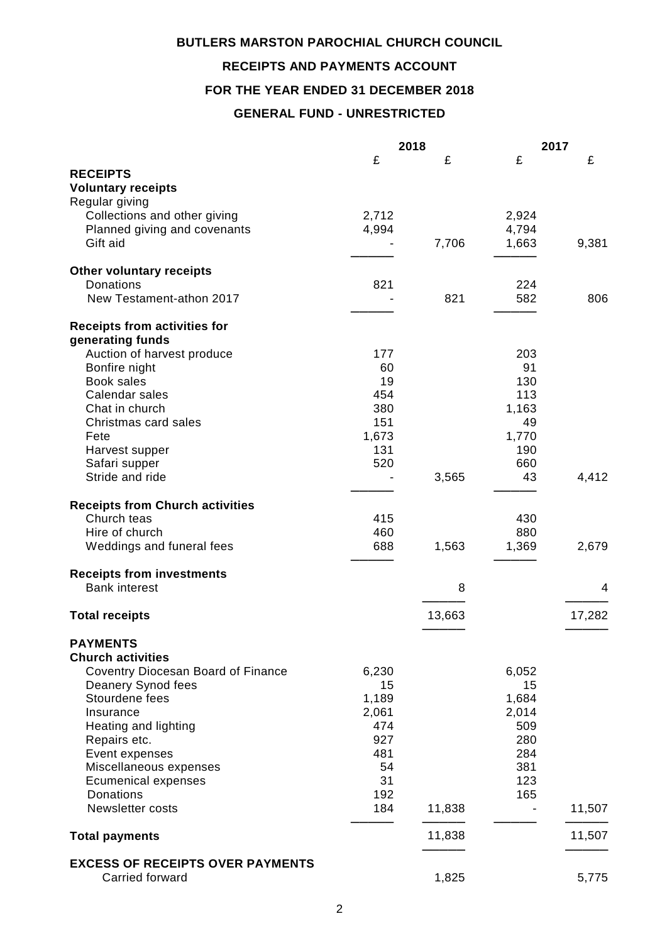### **BUTLERS MARSTON PAROCHIAL CHURCH COUNCIL**

### **RECEIPTS AND PAYMENTS ACCOUNT**

### **FOR THE YEAR ENDED 31 DECEMBER 2018**

### **GENERAL FUND - UNRESTRICTED**

|                                         |       | 2018   |       | 2017   |
|-----------------------------------------|-------|--------|-------|--------|
|                                         | £     | £      | £     | £      |
| <b>RECEIPTS</b>                         |       |        |       |        |
| <b>Voluntary receipts</b>               |       |        |       |        |
| Regular giving                          |       |        |       |        |
| Collections and other giving            | 2,712 |        | 2,924 |        |
| Planned giving and covenants            | 4,994 |        | 4,794 |        |
| Gift aid                                |       | 7,706  | 1,663 | 9,381  |
| <b>Other voluntary receipts</b>         |       |        |       |        |
| <b>Donations</b>                        | 821   |        | 224   |        |
| New Testament-athon 2017                |       | 821    | 582   | 806    |
|                                         |       |        |       |        |
| <b>Receipts from activities for</b>     |       |        |       |        |
| generating funds                        |       |        |       |        |
| Auction of harvest produce              | 177   |        | 203   |        |
| Bonfire night                           | 60    |        | 91    |        |
| <b>Book sales</b>                       | 19    |        | 130   |        |
| Calendar sales                          | 454   |        | 113   |        |
| Chat in church                          | 380   |        | 1,163 |        |
| Christmas card sales                    | 151   |        | 49    |        |
| Fete                                    | 1,673 |        | 1,770 |        |
| Harvest supper                          | 131   |        | 190   |        |
| Safari supper                           | 520   |        | 660   |        |
| Stride and ride                         |       | 3,565  | 43    | 4,412  |
| <b>Receipts from Church activities</b>  |       |        |       |        |
| Church teas                             | 415   |        | 430   |        |
| Hire of church                          | 460   |        | 880   |        |
| Weddings and funeral fees               | 688   | 1,563  | 1,369 | 2,679  |
| <b>Receipts from investments</b>        |       |        |       |        |
| <b>Bank interest</b>                    |       | 8      |       | 4      |
|                                         |       |        |       |        |
| <b>Total receipts</b>                   |       | 13,663 |       | 17,282 |
| <b>PAYMENTS</b>                         |       |        |       |        |
| <b>Church activities</b>                |       |        |       |        |
| Coventry Diocesan Board of Finance      | 6,230 |        | 6,052 |        |
| Deanery Synod fees                      | 15    |        | 15    |        |
| Stourdene fees                          | 1,189 |        | 1,684 |        |
| Insurance                               | 2,061 |        | 2,014 |        |
| Heating and lighting                    | 474   |        | 509   |        |
| Repairs etc.                            | 927   |        | 280   |        |
| Event expenses                          | 481   |        | 284   |        |
| Miscellaneous expenses                  | 54    |        | 381   |        |
| <b>Ecumenical expenses</b>              | 31    |        | 123   |        |
| Donations                               | 192   |        | 165   |        |
| <b>Newsletter costs</b>                 | 184   | 11,838 |       | 11,507 |
|                                         |       |        |       |        |
| <b>Total payments</b>                   |       | 11,838 |       | 11,507 |
| <b>EXCESS OF RECEIPTS OVER PAYMENTS</b> |       |        |       |        |
| Carried forward                         |       | 1,825  |       | 5,775  |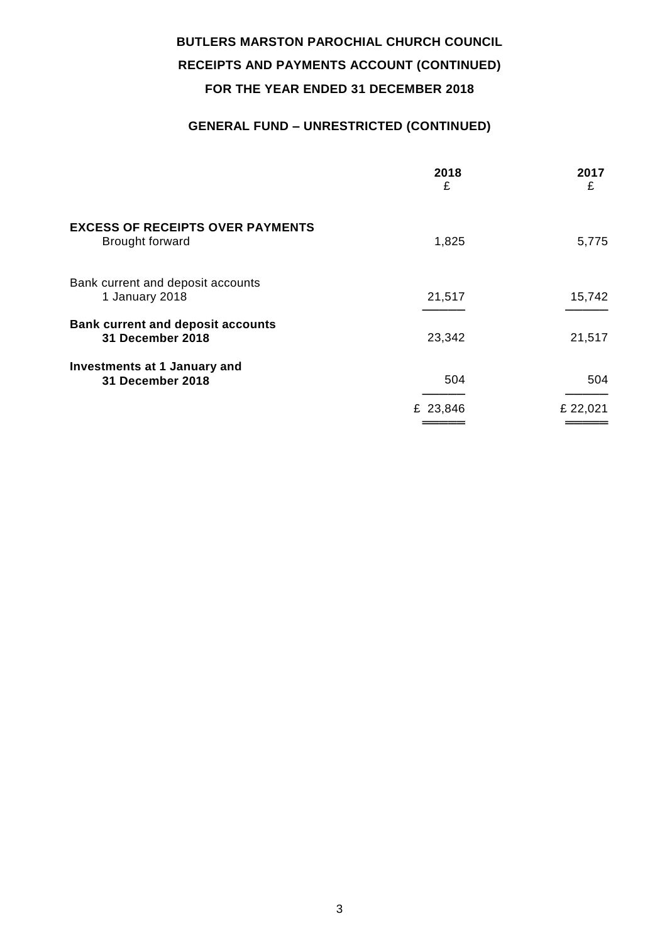### **GENERAL FUND – UNRESTRICTED (CONTINUED)**

|                                                                   | 2018<br>£ | 2017<br>£ |
|-------------------------------------------------------------------|-----------|-----------|
| <b>EXCESS OF RECEIPTS OVER PAYMENTS</b><br><b>Brought forward</b> | 1,825     | 5,775     |
| Bank current and deposit accounts<br>1 January 2018               | 21,517    | 15,742    |
| <b>Bank current and deposit accounts</b><br>31 December 2018      | 23,342    | 21,517    |
| <b>Investments at 1 January and</b><br>31 December 2018           | 504       | 504       |
|                                                                   | £ 23,846  | £ 22,021  |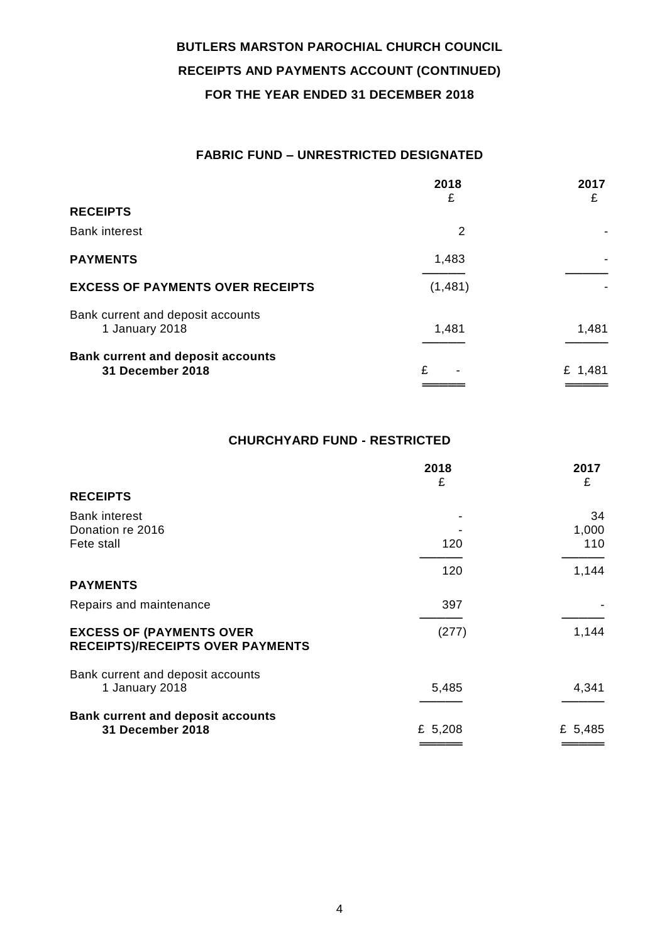### **FABRIC FUND – UNRESTRICTED DESIGNATED**

|                                                              | 2018<br>£ | 2017<br>£ |
|--------------------------------------------------------------|-----------|-----------|
| <b>RECEIPTS</b>                                              |           |           |
| <b>Bank interest</b>                                         | 2         |           |
| <b>PAYMENTS</b>                                              | 1,483     | ۰         |
| <b>EXCESS OF PAYMENTS OVER RECEIPTS</b>                      | (1,481)   |           |
| Bank current and deposit accounts<br>1 January 2018          | 1,481     | 1,481     |
| <b>Bank current and deposit accounts</b><br>31 December 2018 | £         | £ 1,481   |

### **CHURCHYARD FUND - RESTRICTED**

|                                                                            | 2018<br>£ | 2017<br>£          |
|----------------------------------------------------------------------------|-----------|--------------------|
| <b>RECEIPTS</b>                                                            |           |                    |
| <b>Bank interest</b><br>Donation re 2016<br>Fete stall                     | 120       | 34<br>1,000<br>110 |
|                                                                            |           |                    |
| <b>PAYMENTS</b>                                                            | 120       | 1,144              |
| Repairs and maintenance                                                    | 397       |                    |
| <b>EXCESS OF (PAYMENTS OVER</b><br><b>RECEIPTS)/RECEIPTS OVER PAYMENTS</b> | (277)     | 1,144              |
| Bank current and deposit accounts<br>1 January 2018                        | 5,485     | 4,341              |
| <b>Bank current and deposit accounts</b><br>31 December 2018               | £ $5,208$ | £ $5,485$          |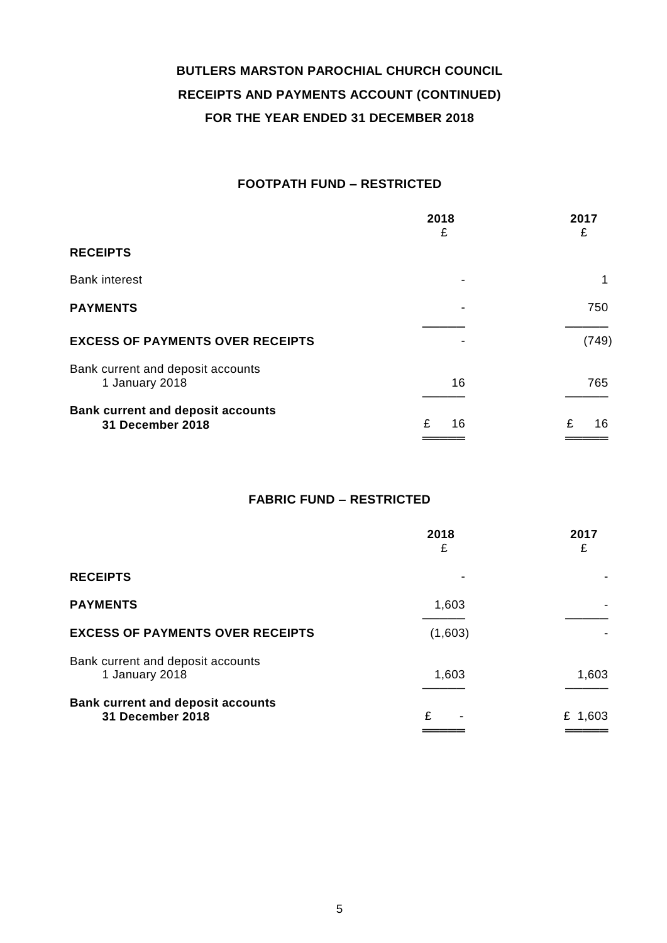### **FOOTPATH FUND – RESTRICTED**

|                                                              | 2018<br>£ | 2017<br>£ |
|--------------------------------------------------------------|-----------|-----------|
| <b>RECEIPTS</b>                                              |           |           |
| <b>Bank interest</b>                                         | -         | 1         |
| <b>PAYMENTS</b>                                              |           | 750       |
| <b>EXCESS OF PAYMENTS OVER RECEIPTS</b>                      |           | (749)     |
| Bank current and deposit accounts<br>1 January 2018          | 16        | 765       |
| <b>Bank current and deposit accounts</b><br>31 December 2018 | £<br>16   | £<br>16   |

### **FABRIC FUND – RESTRICTED**

|                                                                     | 2018<br>£ | 2017<br>£ |
|---------------------------------------------------------------------|-----------|-----------|
| <b>RECEIPTS</b>                                                     |           |           |
| <b>PAYMENTS</b>                                                     | 1,603     |           |
| <b>EXCESS OF PAYMENTS OVER RECEIPTS</b>                             | (1,603)   |           |
| Bank current and deposit accounts<br>1 January 2018                 | 1,603     | 1,603     |
| <b>Bank current and deposit accounts</b><br><b>31 December 2018</b> | £         | £ 1,603   |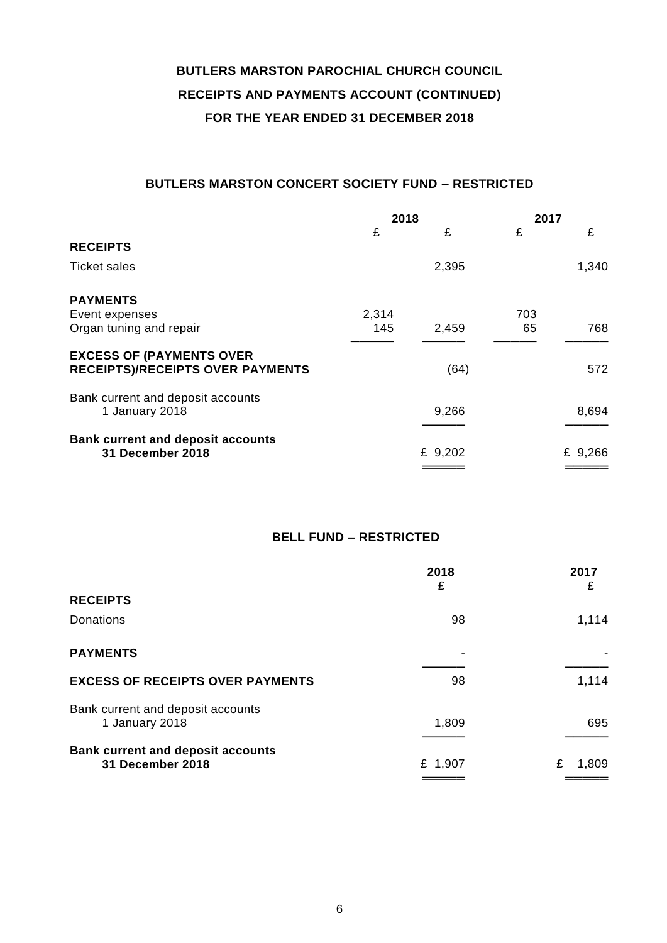### **BUTLERS MARSTON CONCERT SOCIETY FUND – RESTRICTED**

|                                                                     | 2018  |         | 2017 |         |
|---------------------------------------------------------------------|-------|---------|------|---------|
|                                                                     | £     | £       | £    | £       |
| <b>RECEIPTS</b>                                                     |       |         |      |         |
| <b>Ticket sales</b>                                                 |       | 2,395   |      | 1,340   |
| <b>PAYMENTS</b>                                                     |       |         |      |         |
| Event expenses                                                      | 2,314 |         | 703  |         |
| Organ tuning and repair                                             | 145   | 2,459   | 65   | 768     |
| <b>EXCESS OF (PAYMENTS OVER</b>                                     |       |         |      |         |
| <b>RECEIPTS)/RECEIPTS OVER PAYMENTS</b>                             |       | (64)    |      | 572     |
| Bank current and deposit accounts                                   |       |         |      |         |
| 1 January 2018                                                      |       | 9,266   |      | 8,694   |
|                                                                     |       |         |      |         |
| <b>Bank current and deposit accounts</b><br><b>31 December 2018</b> |       | £ 9,202 |      | £ 9,266 |
|                                                                     |       |         |      |         |

### **BELL FUND – RESTRICTED**

|                                                                     | 2018<br>£ | 2017<br>£  |
|---------------------------------------------------------------------|-----------|------------|
| <b>RECEIPTS</b>                                                     |           |            |
| Donations                                                           | 98        | 1,114      |
| <b>PAYMENTS</b>                                                     | ٠         |            |
| <b>EXCESS OF RECEIPTS OVER PAYMENTS</b>                             | 98        | 1,114      |
| Bank current and deposit accounts<br>1 January 2018                 | 1,809     | 695        |
| <b>Bank current and deposit accounts</b><br><b>31 December 2018</b> | £ 1,907   | £<br>1,809 |